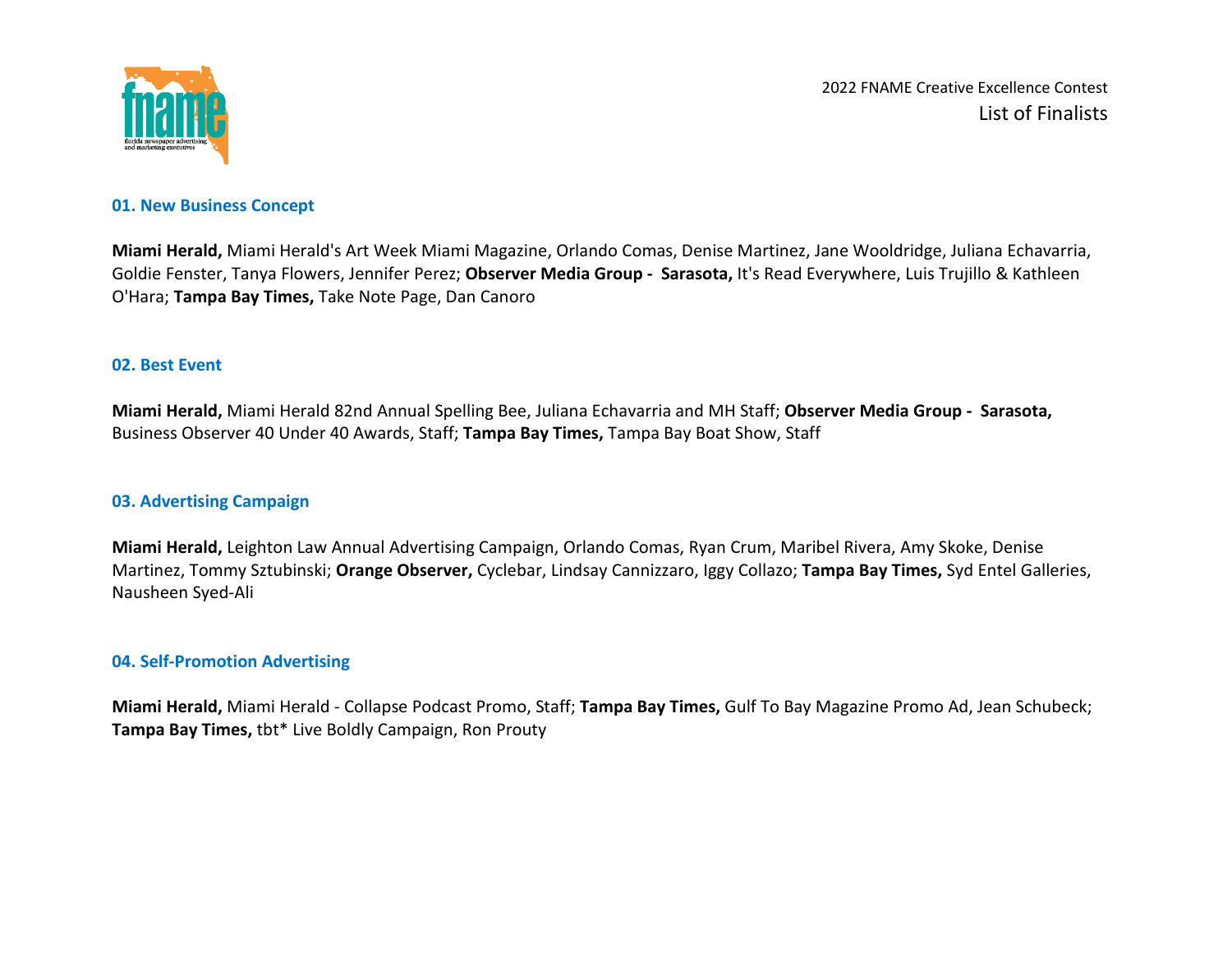

#### **01. New Business Concept**

**Miami Herald,** Miami Herald's Art Week Miami Magazine, Orlando Comas, Denise Martinez, Jane Wooldridge, Juliana Echavarria, Goldie Fenster, Tanya Flowers, Jennifer Perez; **Observer Media Group - Sarasota,** It's Read Everywhere, Luis Trujillo & Kathleen O'Hara; **Tampa Bay Times,** Take Note Page, Dan Canoro

#### **02. Best Event**

**Miami Herald,** Miami Herald 82nd Annual Spelling Bee, Juliana Echavarria and MH Staff; **Observer Media Group - Sarasota,**  Business Observer 40 Under 40 Awards, Staff; **Tampa Bay Times,** Tampa Bay Boat Show, Staff

### **03. Advertising Campaign**

**Miami Herald,** Leighton Law Annual Advertising Campaign, Orlando Comas, Ryan Crum, Maribel Rivera, Amy Skoke, Denise Martinez, Tommy Sztubinski; **Orange Observer,** Cyclebar, Lindsay Cannizzaro, Iggy Collazo; **Tampa Bay Times,** Syd Entel Galleries, Nausheen Syed-Ali

#### **04. Self-Promotion Advertising**

**Miami Herald,** Miami Herald - Collapse Podcast Promo, Staff; **Tampa Bay Times,** Gulf To Bay Magazine Promo Ad, Jean Schubeck; **Tampa Bay Times,** tbt\* Live Boldly Campaign, Ron Prouty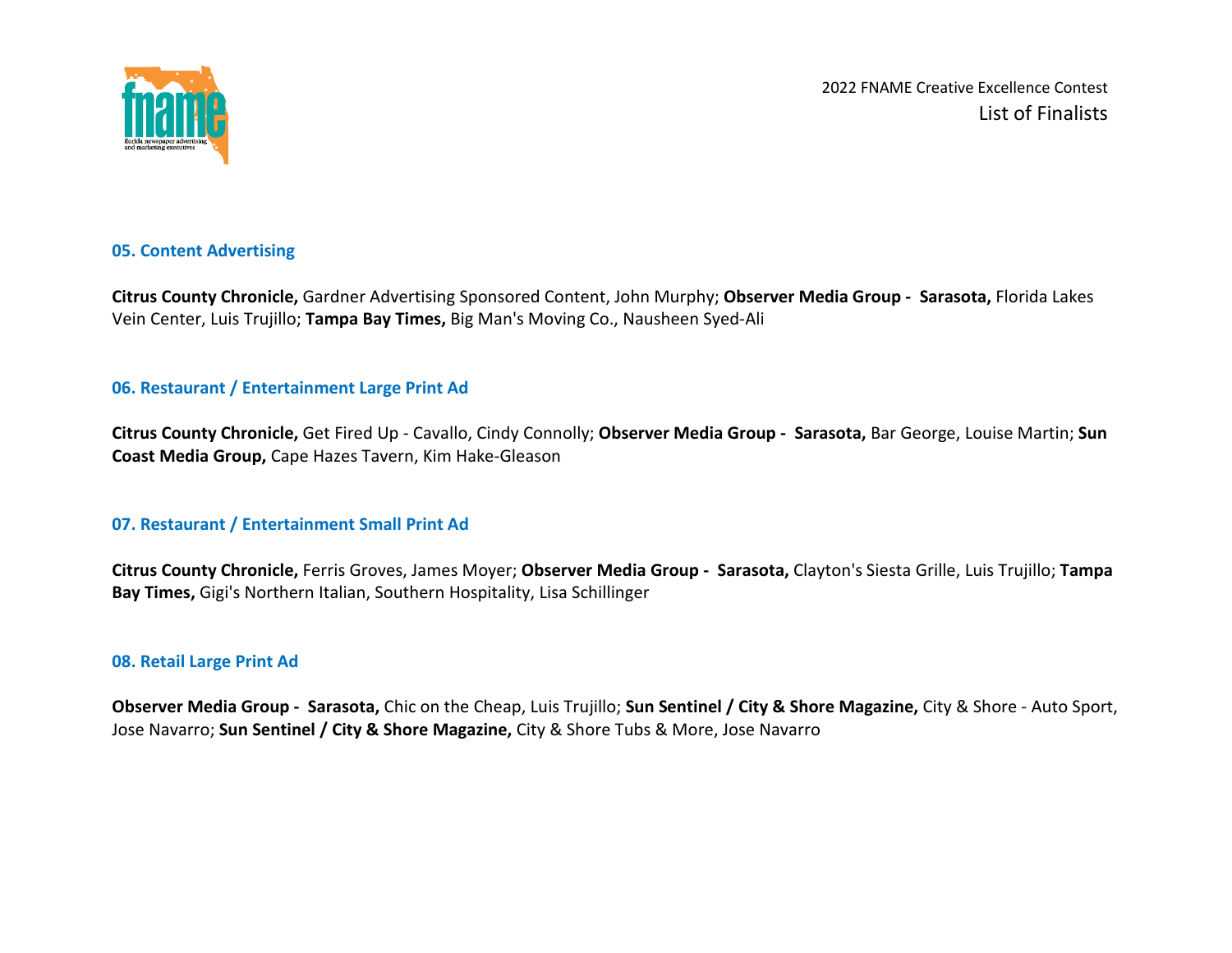

### **05. Content Advertising**

**Citrus County Chronicle,** Gardner Advertising Sponsored Content, John Murphy; **Observer Media Group - Sarasota,** Florida Lakes Vein Center, Luis Trujillo; **Tampa Bay Times,** Big Man's Moving Co., Nausheen Syed-Ali

### **06. Restaurant / Entertainment Large Print Ad**

**Citrus County Chronicle,** Get Fired Up - Cavallo, Cindy Connolly; **Observer Media Group - Sarasota,** Bar George, Louise Martin; **Sun Coast Media Group,** Cape Hazes Tavern, Kim Hake-Gleason

## **07. Restaurant / Entertainment Small Print Ad**

**Citrus County Chronicle,** Ferris Groves, James Moyer; **Observer Media Group - Sarasota,** Clayton's Siesta Grille, Luis Trujillo; **Tampa Bay Times,** Gigi's Northern Italian, Southern Hospitality, Lisa Schillinger

#### **08. Retail Large Print Ad**

**Observer Media Group - Sarasota,** Chic on the Cheap, Luis Trujillo; **Sun Sentinel / City & Shore Magazine,** City & Shore - Auto Sport, Jose Navarro; **Sun Sentinel / City & Shore Magazine,** City & Shore Tubs & More, Jose Navarro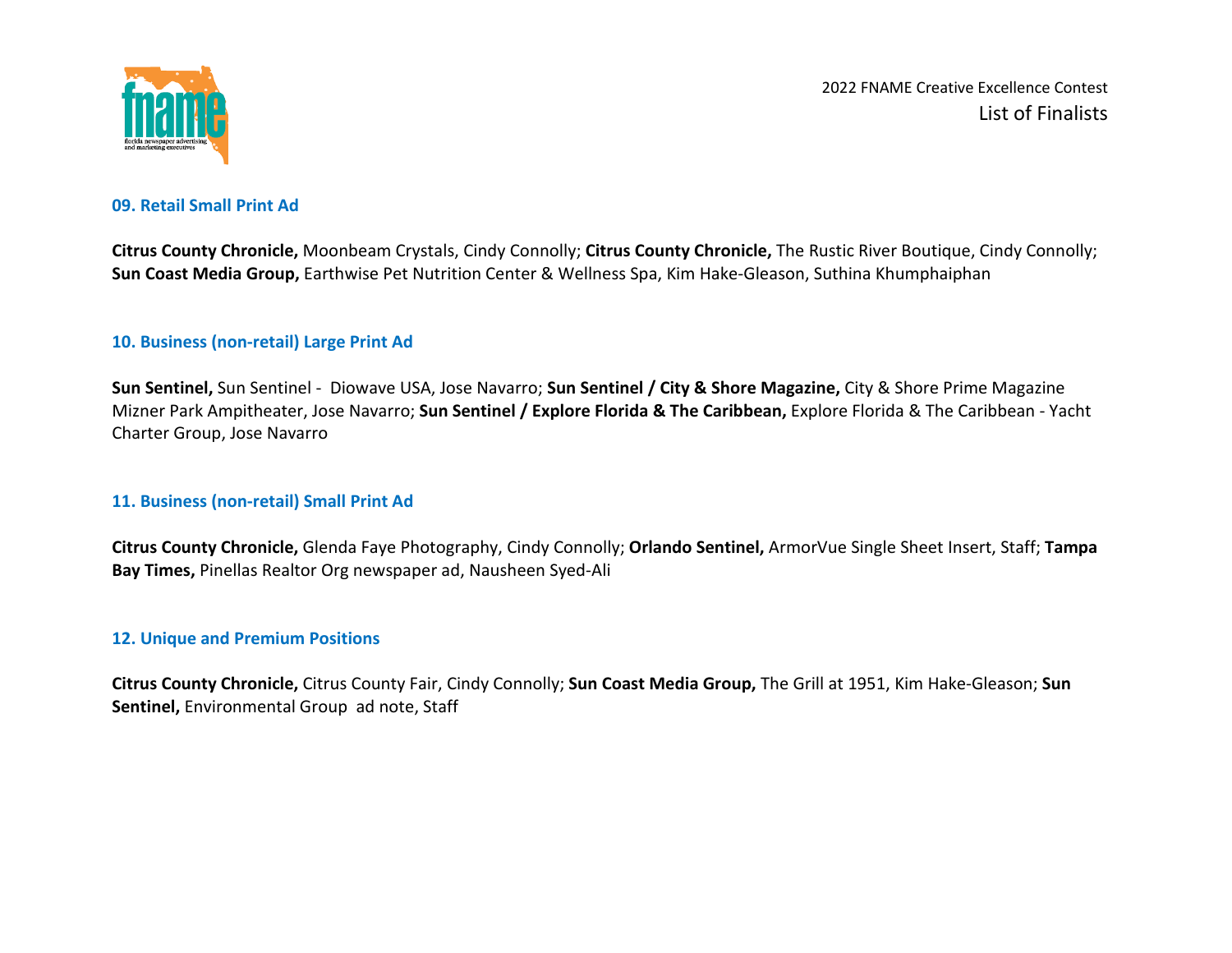

# **09. Retail Small Print Ad**

**Citrus County Chronicle,** Moonbeam Crystals, Cindy Connolly; **Citrus County Chronicle,** The Rustic River Boutique, Cindy Connolly; **Sun Coast Media Group,** Earthwise Pet Nutrition Center & Wellness Spa, Kim Hake-Gleason, Suthina Khumphaiphan

## **10. Business (non-retail) Large Print Ad**

**Sun Sentinel,** Sun Sentinel - Diowave USA, Jose Navarro; **Sun Sentinel / City & Shore Magazine,** City & Shore Prime Magazine Mizner Park Ampitheater, Jose Navarro; **Sun Sentinel / Explore Florida & The Caribbean,** Explore Florida & The Caribbean - Yacht Charter Group, Jose Navarro

## **11. Business (non-retail) Small Print Ad**

**Citrus County Chronicle,** Glenda Faye Photography, Cindy Connolly; **Orlando Sentinel,** ArmorVue Single Sheet Insert, Staff; **Tampa Bay Times,** Pinellas Realtor Org newspaper ad, Nausheen Syed-Ali

## **12. Unique and Premium Positions**

**Citrus County Chronicle,** Citrus County Fair, Cindy Connolly; **Sun Coast Media Group,** The Grill at 1951, Kim Hake-Gleason; **Sun Sentinel,** Environmental Group ad note, Staff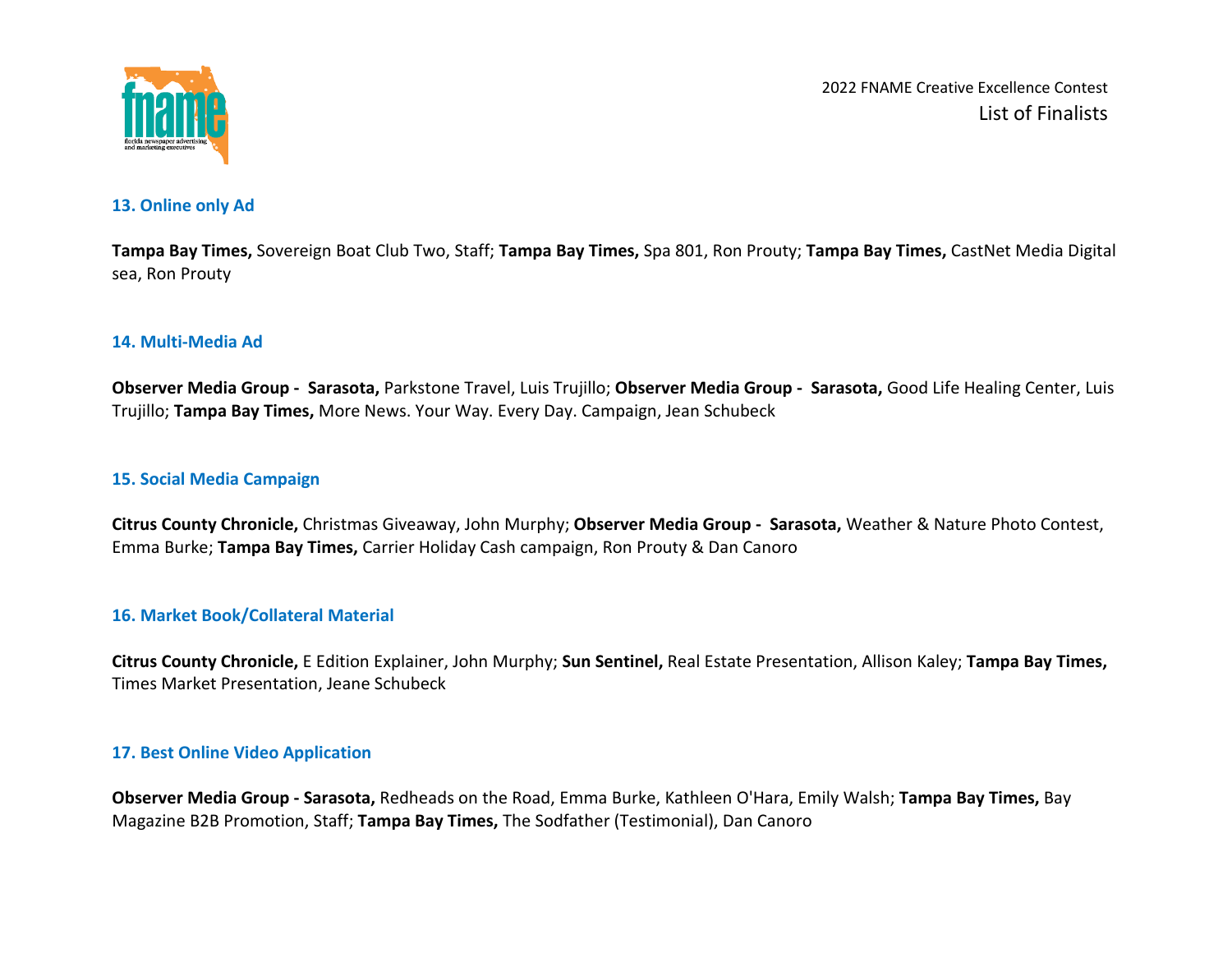

#### **13. Online only Ad**

**Tampa Bay Times,** Sovereign Boat Club Two, Staff; **Tampa Bay Times,** Spa 801, Ron Prouty; **Tampa Bay Times,** CastNet Media Digital sea, Ron Prouty

## **14. Multi-Media Ad**

**Observer Media Group - Sarasota,** Parkstone Travel, Luis Trujillo; **Observer Media Group - Sarasota,** Good Life Healing Center, Luis Trujillo; **Tampa Bay Times,** More News. Your Way. Every Day. Campaign, Jean Schubeck

### **15. Social Media Campaign**

**Citrus County Chronicle,** Christmas Giveaway, John Murphy; **Observer Media Group - Sarasota,** Weather & Nature Photo Contest, Emma Burke; **Tampa Bay Times,** Carrier Holiday Cash campaign, Ron Prouty & Dan Canoro

#### **16. Market Book/Collateral Material**

**Citrus County Chronicle,** E Edition Explainer, John Murphy; **Sun Sentinel,** Real Estate Presentation, Allison Kaley; **Tampa Bay Times,**  Times Market Presentation, Jeane Schubeck

## **17. Best Online Video Application**

**Observer Media Group - Sarasota,** Redheads on the Road, Emma Burke, Kathleen O'Hara, Emily Walsh; **Tampa Bay Times,** Bay Magazine B2B Promotion, Staff; **Tampa Bay Times,** The Sodfather (Testimonial), Dan Canoro